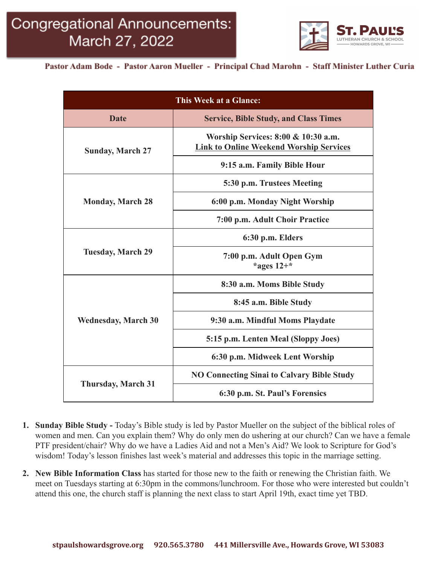

Pastor Adam Bode - Pastor Aaron Mueller - Principal Chad Marohn - Staff Minister Luther Curia

| This Week at a Glance:     |                                                                                       |
|----------------------------|---------------------------------------------------------------------------------------|
| Date                       | <b>Service, Bible Study, and Class Times</b>                                          |
| <b>Sunday, March 27</b>    | Worship Services: 8:00 & 10:30 a.m.<br><b>Link to Online Weekend Worship Services</b> |
|                            | 9:15 a.m. Family Bible Hour                                                           |
| <b>Monday, March 28</b>    | 5:30 p.m. Trustees Meeting                                                            |
|                            | 6:00 p.m. Monday Night Worship                                                        |
|                            | 7:00 p.m. Adult Choir Practice                                                        |
| <b>Tuesday, March 29</b>   | 6:30 p.m. Elders                                                                      |
|                            | 7:00 p.m. Adult Open Gym<br>*ages $12+$ *                                             |
| <b>Wednesday, March 30</b> | 8:30 a.m. Moms Bible Study                                                            |
|                            | 8:45 a.m. Bible Study                                                                 |
|                            | 9:30 a.m. Mindful Moms Playdate                                                       |
|                            | 5:15 p.m. Lenten Meal (Sloppy Joes)                                                   |
|                            | 6:30 p.m. Midweek Lent Worship                                                        |
| <b>Thursday, March 31</b>  | <b>NO Connecting Sinai to Calvary Bible Study</b>                                     |
|                            | 6:30 p.m. St. Paul's Forensics                                                        |

- **1. Sunday Bible Study -** Today's Bible study is led by Pastor Mueller on the subject of the biblical roles of women and men. Can you explain them? Why do only men do ushering at our church? Can we have a female PTF president/chair? Why do we have a Ladies Aid and not a Men's Aid? We look to Scripture for God's wisdom! Today's lesson finishes last week's material and addresses this topic in the marriage setting.
- **2. New Bible Information Class** has started for those new to the faith or renewing the Christian faith. We meet on Tuesdays starting at 6:30pm in the commons/lunchroom. For those who were interested but couldn't attend this one, the church staff is planning the next class to start April 19th, exact time yet TBD.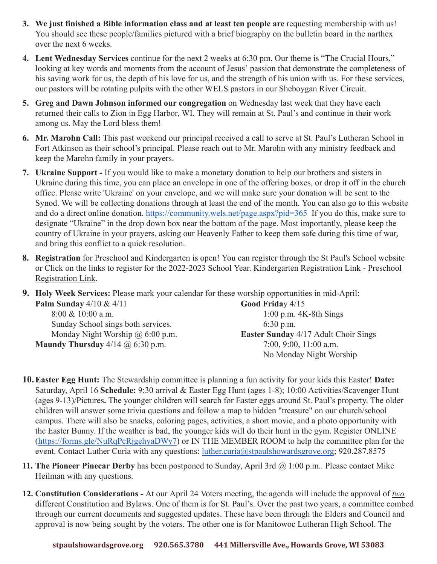- **3. We just finished a Bible information class and at least ten people are** requesting membership with us! You should see these people/families pictured with a brief biography on the bulletin board in the narthex over the next 6 weeks.
- **4. Lent Wednesday Services** continue for the next 2 weeks at 6:30 pm. Our theme is "The Crucial Hours," looking at key words and moments from the account of Jesus' passion that demonstrate the completeness of his saving work for us, the depth of his love for us, and the strength of his union with us. For these services, our pastors will be rotating pulpits with the other WELS pastors in our Sheboygan River Circuit.
- **5. Greg and Dawn Johnson informed our congregation** on Wednesday last week that they have each returned their calls to Zion in Egg Harbor, WI. They will remain at St. Paul's and continue in their work among us. May the Lord bless them!
- **6. Mr. Marohn Call:** This past weekend our principal received a call to serve at St. Paul's Lutheran School in Fort Atkinson as their school's principal. Please reach out to Mr. Marohn with any ministry feedback and keep the Marohn family in your prayers.
- **7. Ukraine Support -** If you would like to make a monetary donation to help our brothers and sisters in Ukraine during this time, you can place an envelope in one of the offering boxes, or drop it off in the church office. Please write 'Ukraine' on your envelope, and we will make sure your donation will be sent to the Synod. We will be collecting donations through at least the end of the month. You can also go to this website and do a direct online donation. <https://community.wels.net/page.aspx?pid=365> If you do this, make sure to designate "Ukraine" in the drop down box near the bottom of the page. Most importantly, please keep the country of Ukraine in your prayers, asking our Heavenly Father to keep them safe during this time of war, and bring this conflict to a quick resolution.
- **8. Registration** for Preschool and Kindergarten is open! You can register through the St Paul's School website or Click on the links to register for the 2022-2023 School Year. [Kindergarten Registration Link](https://docs.google.com/forms/d/e/1FAIpQLSf-NkQmGjbBCEFhD44lj2p-MoRRL6yAEt-cLkTKeLSr1-dF_A/viewform?usp=sf_link) - [Preschool](https://docs.google.com/forms/d/e/1FAIpQLScPE43-s63ocYhD6CQYm-fkDu79g_o-SK0nf9hrPWiD1FCQGQ/viewform?usp=sf_link) [Registration Link.](https://docs.google.com/forms/d/e/1FAIpQLScPE43-s63ocYhD6CQYm-fkDu79g_o-SK0nf9hrPWiD1FCQGQ/viewform?usp=sf_link)
- **9. Holy Week Services:** Please mark your calendar for these worship opportunities in mid-April: **Palm Sunday** 4/10 & 4/11 8:00 & 10:00 a.m. **Good Frida**y 4/15

Sunday School sings both services. Monday Night Worship @ 6:00 p.m. **Maundy Thursday** 4/14 @ 6:30 p.m.

1:00 p.m. 4K-8th Sings 6:30 p.m. **Easter Sunday** 4/17 Adult Choir Sings 7:00, 9:00, 11:00 a.m. No Monday Night Worship

- **10.Easter Egg Hunt:** The Stewardship committee is planning a fun activity for your kids this Easter! **Date:** Saturday, April 16 **Schedule:** 9:30 arrival & Easter Egg Hunt (ages 1-8); 10:00 Activities/Scavenger Hunt (ages 9-13)/Pictures**.** The younger children will search for Easter eggs around St. Paul's property. The older children will answer some trivia questions and follow a map to hidden "treasure" on our church/school campus. There will also be snacks, coloring pages, activities, a short movie, and a photo opportunity with the Easter Bunny. If the weather is bad, the younger kids will do their hunt in the gym. Register ONLINE [\(https://forms.gle/NuRqPcRjgehyaDWy7\)](https://forms.gle/NuRqPcRjgehyaDWy7) or IN THE MEMBER ROOM to help the committee plan for the event. Contact Luther Curia with any questions: [luther.curia@stpaulshowardsgrove.org](mailto:luther.curia@stpaulshowardsgrove.org); 920.287.8575
- **11. The Pioneer Pinecar Derby** has been postponed to Sunday, April 3rd @ 1:00 p.m.. Please contact Mike Heilman with any questions.
- **12. Constitution Considerations -** At our April 24 Voters meeting, the agenda will include the approval of *two* different Constitution and Bylaws. One of them is for St. Paul's. Over the past two years, a committee combed through our current documents and suggested updates. These have been through the Elders and Council and approval is now being sought by the voters. The other one is for Manitowoc Lutheran High School. The